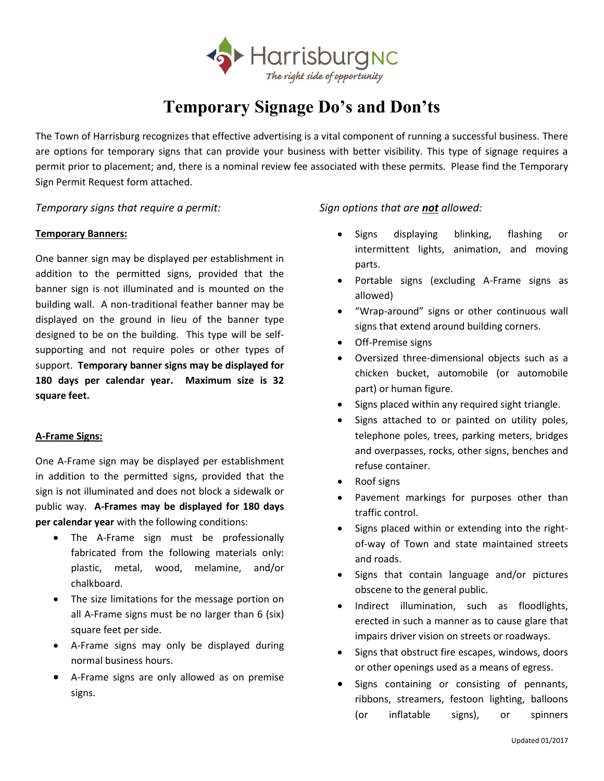

# **Temporary Signage Do's and Don'ts**

The Town of Harrisburg recognizes that effective advertising is a vital component of running a successful business. There are options for temporary signs that can provide your business with better visibility. This type of signage requires a permit prior to placement; and, there is a nominal review fee associated with these permits. Please find the Temporary Sign Permit Request form attached.

### *Temporary signs that require a permit: Sign options that are not allowed:*

### **Temporary Banners:**

One banner sign may be displayed per establishment in addition to the permitted signs, provided that the banner sign is not illuminated and is mounted on the building wall. A non-traditional feather banner may be displayed on the ground in lieu of the banner type designed to be on the building. This type will be selfsupporting and not require poles or other types of support. **Temporary banner signs may be displayed for 180 days per calendar year. Maximum size is 32 square feet.**

### **A-Frame Signs:**

One A-Frame sign may be displayed per establishment in addition to the permitted signs, provided that the sign is not illuminated and does not block a sidewalk or public way. **A-Frames may be displayed for 180 days per calendar year** with the following conditions:

- The A-Frame sign must be professionally fabricated from the following materials only: plastic, metal, wood, melamine, and/or chalkboard.
- The size limitations for the message portion on all A-Frame signs must be no larger than 6 (six) square feet per side.
- A-Frame signs may only be displayed during normal business hours.
- A-Frame signs are only allowed as on premise signs.

- Signs displaying blinking, flashing or intermittent lights, animation, and moving parts.
- Portable signs (excluding A-Frame signs as allowed)
- "Wrap-around" signs or other continuous wall signs that extend around building corners.
- Off-Premise signs
- Oversized three-dimensional objects such as a chicken bucket, automobile (or automobile part) or human figure.
- Signs placed within any required sight triangle.
- Signs attached to or painted on utility poles, telephone poles, trees, parking meters, bridges and overpasses, rocks, other signs, benches and refuse container.
- Roof signs
- Pavement markings for purposes other than traffic control.
- Signs placed within or extending into the rightof-way of Town and state maintained streets and roads.
- Signs that contain language and/or pictures obscene to the general public.
- Indirect illumination, such as floodlights, erected in such a manner as to cause glare that impairs driver vision on streets or roadways.
- Signs that obstruct fire escapes, windows, doors or other openings used as a means of egress.
- Signs containing or consisting of pennants, ribbons, streamers, festoon lighting, balloons (or inflatable signs), or spinners